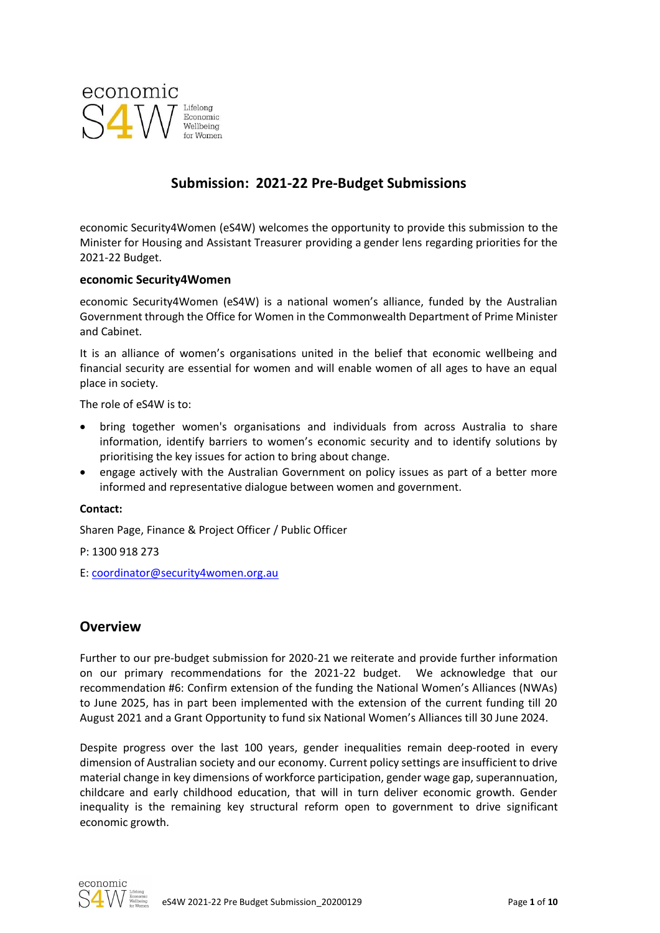

# **Submission: 2021-22 Pre-Budget Submissions**

economic Security4Women (eS4W) welcomes the opportunity to provide this submission to the Minister for Housing and Assistant Treasurer providing a gender lens regarding priorities for the 2021-22 Budget.

#### **economic Security4Women**

economic Security4Women (eS4W) is a national women's alliance, funded by the Australian Government through the Office for Women in the Commonwealth Department of Prime Minister and Cabinet.

It is an alliance of women's organisations united in the belief that economic wellbeing and financial security are essential for women and will enable women of all ages to have an equal place in society.

The role of eS4W is to:

- bring together women's organisations and individuals from across Australia to share information, identify barriers to women's economic security and to identify solutions by prioritising the key issues for action to bring about change.
- engage actively with the Australian Government on policy issues as part of a better more informed and representative dialogue between women and government.

#### **Contact:**

Sharen Page, Finance & Project Officer / Public Officer

P: 1300 918 273

E: [coordinator@security4women.org.au](mailto:coordinator@security4women.org.au)

## **Overview**

Further to our pre-budget submission for 2020-21 we reiterate and provide further information on our primary recommendations for the 2021-22 budget. We acknowledge that our recommendation #6: Confirm extension of the funding the National Women's Alliances (NWAs) to June 2025, has in part been implemented with the extension of the current funding till 20 August 2021 and a Grant Opportunity to fund six National Women's Alliances till 30 June 2024.

Despite progress over the last 100 years, gender inequalities remain deep-rooted in every dimension of Australian society and our economy. Current policy settings are insufficient to drive material change in key dimensions of workforce participation, gender wage gap, superannuation, childcare and early childhood education, that will in turn deliver economic growth. Gender inequality is the remaining key structural reform open to government to drive significant economic growth.

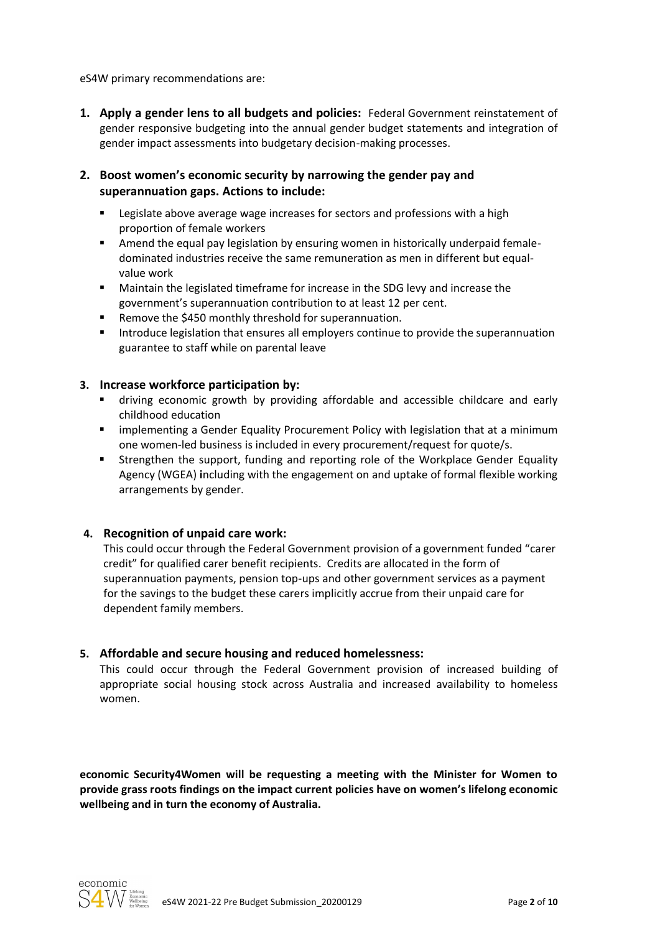eS4W primary recommendations are:

**1. Apply a gender lens to all budgets and policies:** Federal Government reinstatement of gender responsive budgeting into the annual gender budget statements and integration of gender impact assessments into budgetary decision-making processes.

### **2. Boost women's economic security by narrowing the gender pay and superannuation gaps. Actions to include:**

- **EXECT** Legislate above average wage increases for sectors and professions with a high proportion of female workers
- **■** Amend the equal pay legislation by ensuring women in historically underpaid femaledominated industries receive the same remuneration as men in different but equalvalue work
- Maintain the legislated timeframe for increase in the SDG levy and increase the government's superannuation contribution to at least 12 per cent.
- Remove the \$450 monthly threshold for superannuation.
- **■** Introduce legislation that ensures all employers continue to provide the superannuation guarantee to staff while on parental leave

#### **3. Increase workforce participation by:**

- driving economic growth by providing affordable and accessible childcare and early childhood education
- **E** implementing a Gender Equality Procurement Policy with legislation that at a minimum one women-led business is included in every procurement/request for quote/s.
- **EXECT** Strengthen the support, funding and reporting role of the Workplace Gender Equality Agency (WGEA) **i**ncluding with the engagement on and uptake of formal flexible working arrangements by gender.

### **4. Recognition of unpaid care work:**

This could occur through the Federal Government provision of a government funded "carer credit" for qualified carer benefit recipients. Credits are allocated in the form of superannuation payments, pension top-ups and other government services as a payment for the savings to the budget these carers implicitly accrue from their unpaid care for dependent family members.

#### **5. Affordable and secure housing and reduced homelessness:**

This could occur through the Federal Government provision of increased building of appropriate social housing stock across Australia and increased availability to homeless women.

**economic Security4Women will be requesting a meeting with the Minister for Women to provide grass roots findings on the impact current policies have on women's lifelong economic wellbeing and in turn the economy of Australia.**

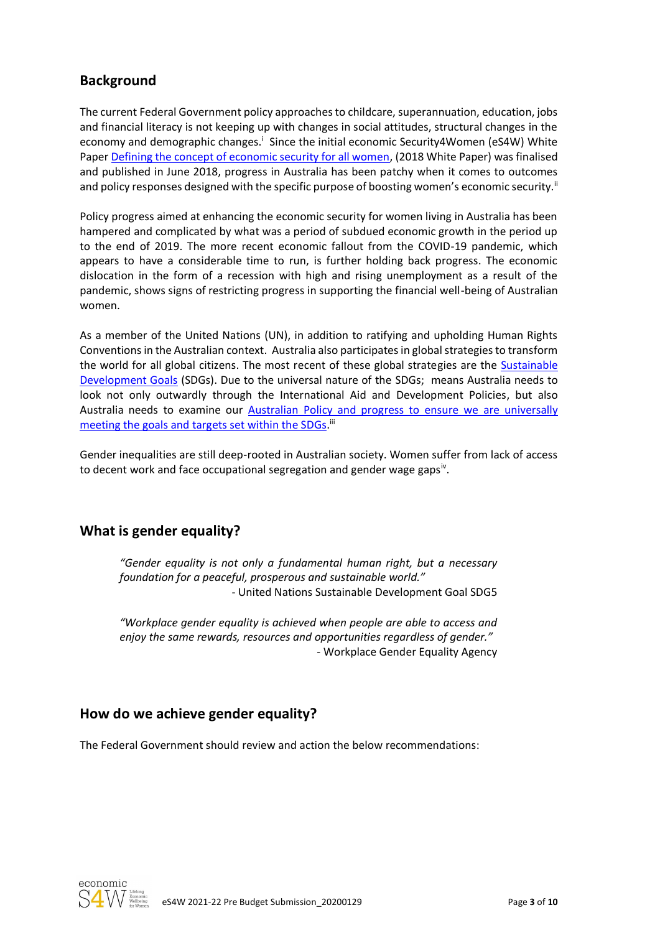# **Background**

The current Federal Government policy approachesto childcare, superannuation, education, jobs and financial literacy is not keeping up with changes in social attitudes, structural changes in the economy and demographic changes.<sup>i</sup> Since the initial economic Security4Women (eS4W) White Paper [Defining the concept of economic security for all women,](https://www.security4women.org.au/boosting-womens-economic-security/economic-security-defined-for-all-women/) (2018 White Paper) was finalised and published in June 2018, progress in Australia has been patchy when it comes to outcomes and policy responses designed with the specific purpose of boosting women's economic security.<sup>ii</sup>

Policy progress aimed at enhancing the economic security for women living in Australia has been hampered and complicated by what was a period of subdued economic growth in the period up to the end of 2019. The more recent economic fallout from the COVID-19 pandemic, which appears to have a considerable time to run, is further holding back progress. The economic dislocation in the form of a recession with high and rising unemployment as a result of the pandemic, shows signs of restricting progress in supporting the financial well-being of Australian women.

As a member of the United Nations (UN), in addition to ratifying and upholding Human Rights Conventions in the Australian context. Australia also participates in global strategies to transform the world for all global citizens. The most recent of these global strategies are the [Sustainable](https://sustainabledevelopment.un.org/sdgs)  [Development Goals](https://sustainabledevelopment.un.org/sdgs) (SDGs). Due to the universal nature of the SDGs; means Australia needs to look not only outwardly through the International Aid and Development Policies, but also Australia needs to examine our [Australian Policy and progress to ensure we are universally](https://dfat.gov.au/aid/topics/development-issues/2030-agenda/Pages/sustainable-development-goals.aspx)  [meeting the goals and targets set within the SDGs.](https://dfat.gov.au/aid/topics/development-issues/2030-agenda/Pages/sustainable-development-goals.aspx)<sup>iii</sup>

Gender inequalities are still deep-rooted in Australian society. Women suffer from lack of access to decent work and face occupational segregation and gender wage gaps<sup>iv</sup>.

# **What is gender equality?**

*"Gender equality is not only a fundamental human right, but a necessary foundation for a peaceful, prosperous and sustainable world."* - United Nations Sustainable Development Goal SDG5

*"Workplace gender equality is achieved when people are able to access and enjoy the same rewards, resources and opportunities regardless of gender."* - Workplace Gender Equality Agency

# **How do we achieve gender equality?**

The Federal Government should review and action the below recommendations:

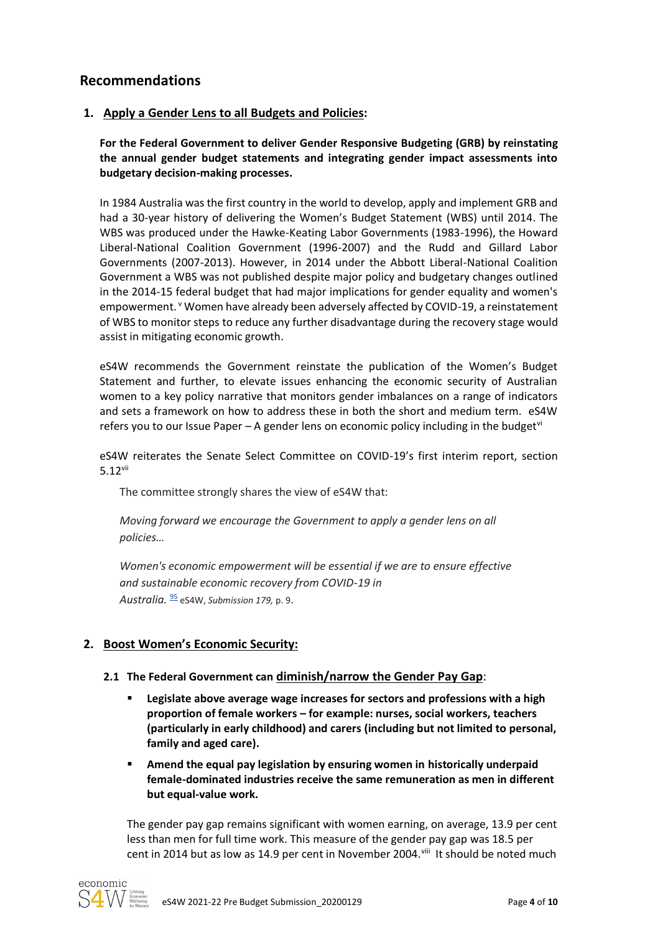## **Recommendations**

### **1. Apply a Gender Lens to all Budgets and Policies:**

**For the Federal Government to deliver Gender Responsive Budgeting (GRB) by reinstating the annual gender budget statements and integrating gender impact assessments into budgetary decision-making processes.**

In 1984 Australia was the first country in the world to develop, apply and implement GRB and had a 30-year history of delivering the Women's Budget Statement (WBS) until 2014. The WBS was produced under the Hawke-Keating Labor Governments (1983-1996), the Howard Liberal-National Coalition Government (1996-2007) and the Rudd and Gillard Labor Governments (2007-2013). However, in 2014 under the Abbott Liberal-National Coalition Government a WBS was not published despite major policy and budgetary changes outlined in the 2014-15 federal budget that had major implications for gender equality and women's empowerment. Y Women have already been adversely affected by COVID-19, a reinstatement of WBS to monitor steps to reduce any further disadvantage during the recovery stage would assist in mitigating economic growth.

eS4W recommends the Government reinstate the publication of the Women's Budget Statement and further, to elevate issues enhancing the economic security of Australian women to a key policy narrative that monitors gender imbalances on a range of indicators and sets a framework on how to address these in both the short and medium term. eS4W refers you to our Issue Paper – A gender lens on economic policy including in the budget  $\mathbb{V}$ 

eS4W reiterates the Senate Select Committee on COVID-19's first interim report, section 5.12vii

The committee strongly shares the view of eS4W that:

*Moving forward we encourage the Government to apply a gender lens on all policies…*

*Women's economic empowerment will be essential if we are to ensure effective and sustainable economic recovery from COVID-19 in Australia.* [95](https://www.aph.gov.au/Parliamentary_Business/Committees/Senate/COVID-19/COVID19/Interim_Report/section?id=committees%2freportsen%2f024513%2f73670#footnote95target) eS4W, *Submission 179,* p. 9.

## **2. Boost Women's Economic Security:**

### **2.1 The Federal Government can diminish/narrow the Gender Pay Gap**:

- **Legislate above average wage increases for sectors and professions with a high proportion of female workers – for example: nurses, social workers, teachers (particularly in early childhood) and carers (including but not limited to personal, family and aged care).**
- **E** Amend the equal pay legislation by ensuring women in historically underpaid **female-dominated industries receive the same remuneration as men in different but equal-value work.**

The gender pay gap remains significant with women earning, on average, 13.9 per cent less than men for full time work. This measure of the gender pay gap was 18.5 per cent in 2014 but as low as 14.9 per cent in November 2004. Vill It should be noted much

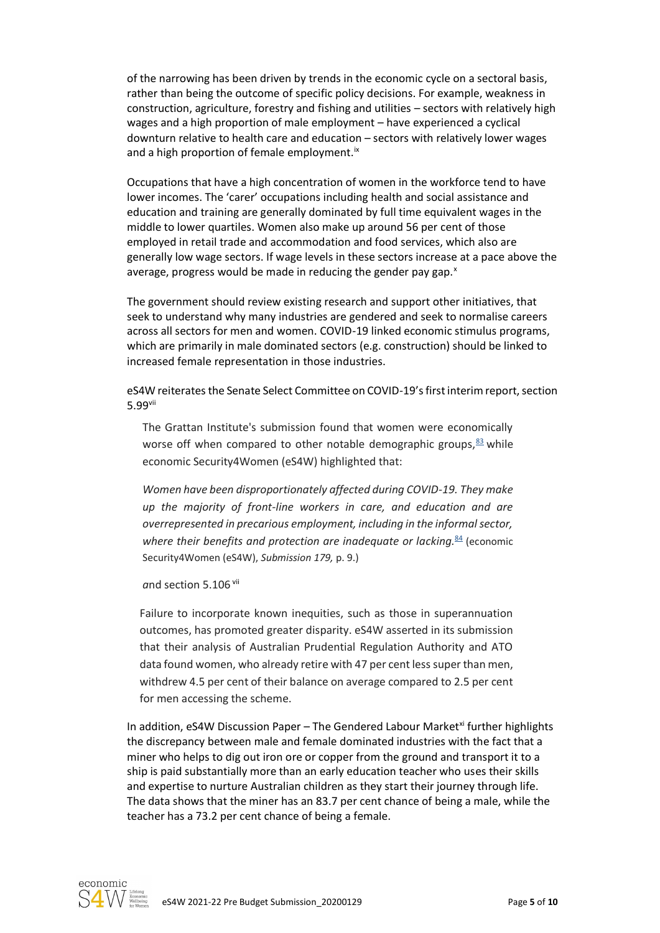of the narrowing has been driven by trends in the economic cycle on a sectoral basis, rather than being the outcome of specific policy decisions. For example, weakness in construction, agriculture, forestry and fishing and utilities – sectors with relatively high wages and a high proportion of male employment – have experienced a cyclical downturn relative to health care and education – sectors with relatively lower wages and a high proportion of female employment.<sup>ix</sup>

Occupations that have a high concentration of women in the workforce tend to have lower incomes. The 'carer' occupations including health and social assistance and education and training are generally dominated by full time equivalent wages in the middle to lower quartiles. Women also make up around 56 per cent of those employed in retail trade and accommodation and food services, which also are generally low wage sectors. If wage levels in these sectors increase at a pace above the average, progress would be made in reducing the gender pay gap. $x$ 

The government should review existing research and support other initiatives, that seek to understand why many industries are gendered and seek to normalise careers across all sectors for men and women. COVID-19 linked economic stimulus programs, which are primarily in male dominated sectors (e.g. construction) should be linked to increased female representation in those industries.

eS4W reiterates the Senate Select Committee on COVID-19's first interim report, section 5.99vii

The Grattan Institute's submission found that women were economically worse off when compared to other notable demographic groups,  $\frac{83}{2}$  $\frac{83}{2}$  $\frac{83}{2}$  while economic Security4Women (eS4W) highlighted that:

*Women have been disproportionately affected during COVID-19. They make up the majority of front-line workers in care, and education and are overrepresented in precarious employment, including in the informal sector, where their benefits and protection are inadequate or lacking.*[84](https://www.aph.gov.au/Parliamentary_Business/Committees/Senate/COVID-19/COVID19/Interim_Report/section?id=committees%2freportsen%2f024513%2f73670#footnote84target) (economic Security4Women (eS4W), *Submission 179,* p. 9.)

and section 5.106 vii

Failure to incorporate known inequities, such as those in superannuation outcomes, has promoted greater disparity. eS4W asserted in its submission that their analysis of Australian Prudential Regulation Authority and ATO data found women, who already retire with 47 per cent less super than men, withdrew 4.5 per cent of their balance on average compared to 2.5 per cent for men accessing the scheme.

In addition,  $eS4W$  Discussion Paper – The Gendered Labour Market<sup>xi</sup> further highlights the discrepancy between male and female dominated industries with the fact that a miner who helps to dig out iron ore or copper from the ground and transport it to a ship is paid substantially more than an early education teacher who uses their skills and expertise to nurture Australian children as they start their journey through life. The data shows that the miner has an 83.7 per cent chance of being a male, while the teacher has a 73.2 per cent chance of being a female.

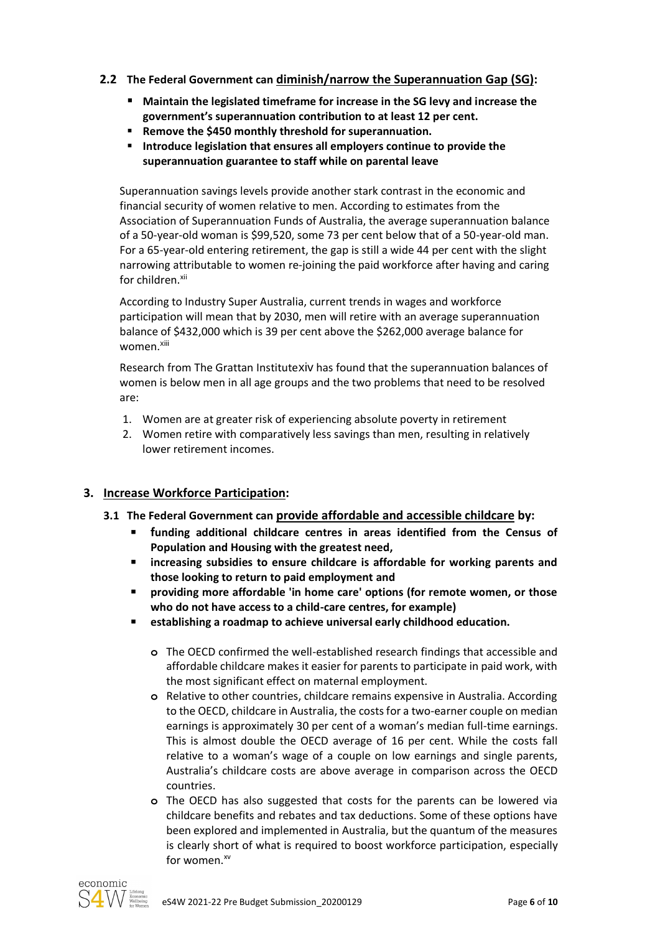### **2.2 The Federal Government can diminish/narrow the Superannuation Gap (SG):**

- Maintain the legislated timeframe for increase in the SG levy and increase the **government's superannuation contribution to at least 12 per cent.**
- **Remove the \$450 monthly threshold for superannuation.**
- **Introduce legislation that ensures all employers continue to provide the superannuation guarantee to staff while on parental leave**

Superannuation savings levels provide another stark contrast in the economic and financial security of women relative to men. According to estimates from the Association of Superannuation Funds of Australia, the average superannuation balance of a 50-year-old woman is \$99,520, some 73 per cent below that of a 50-year-old man. For a 65-year-old entering retirement, the gap is still a wide 44 per cent with the slight narrowing attributable to women re-joining the paid workforce after having and caring for children.<sup>xii</sup>

According to Industry Super Australia, current trends in wages and workforce participation will mean that by 2030, men will retire with an average superannuation balance of \$432,000 which is 39 per cent above the \$262,000 average balance for women.xiii

Research from The Grattan Institutexiv has found that the superannuation balances of women is below men in all age groups and the two problems that need to be resolved are:

- 1. Women are at greater risk of experiencing absolute poverty in retirement
- 2. Women retire with comparatively less savings than men, resulting in relatively lower retirement incomes.

### **3. Increase Workforce Participation:**

- **3.1 The Federal Government can provide affordable and accessible childcare by:**
	- **funding additional childcare centres in areas identified from the Census of Population and Housing with the greatest need,**
	- **increasing subsidies to ensure childcare is affordable for working parents and those looking to return to paid employment and**
	- providing more affordable 'in home care' options (for remote women, or those **who do not have access to a child-care centres, for example)**
	- **establishing a roadmap to achieve universal early childhood education.**
		- **o** The OECD confirmed the well-established research findings that accessible and affordable childcare makes it easier for parents to participate in paid work, with the most significant effect on maternal employment.
		- **o** Relative to other countries, childcare remains expensive in Australia. According to the OECD, childcare in Australia, the costs for a two-earner couple on median earnings is approximately 30 per cent of a woman's median full-time earnings. This is almost double the OECD average of 16 per cent. While the costs fall relative to a woman's wage of a couple on low earnings and single parents, Australia's childcare costs are above average in comparison across the OECD countries.
		- **o** The OECD has also suggested that costs for the parents can be lowered via childcare benefits and rebates and tax deductions. Some of these options have been explored and implemented in Australia, but the quantum of the measures is clearly short of what is required to boost workforce participation, especially for women. $^{xv}$

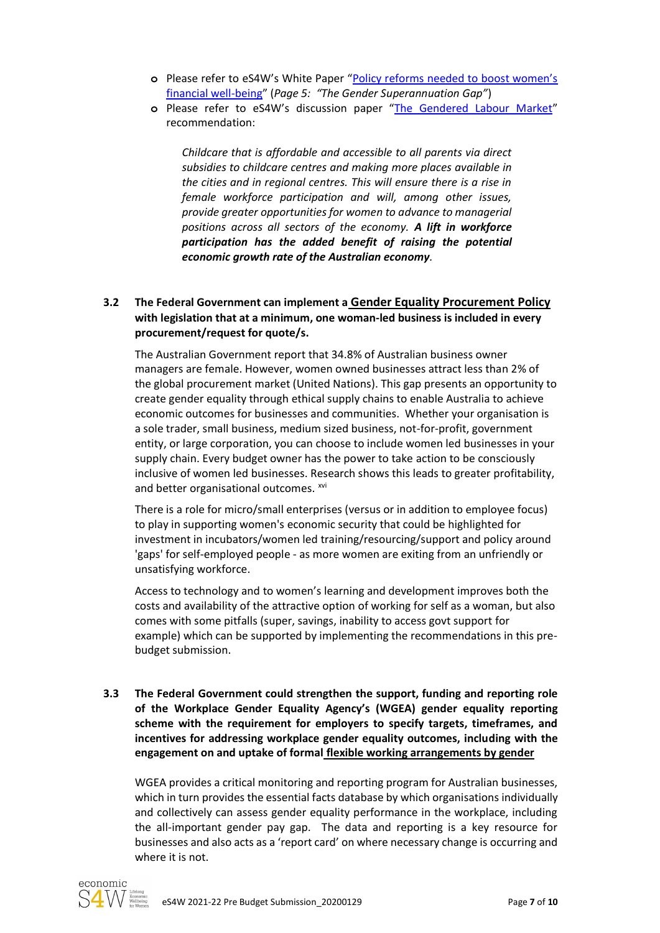- **o** Please refer to eS4W's White Paper ["Policy reforms needed to boost women's](https://www.security4women.org.au/boosting-womens-economic-security/policy-reforms-needed-to-boost-womens-financial-well-being/)  [financial well-being](https://www.security4women.org.au/boosting-womens-economic-security/policy-reforms-needed-to-boost-womens-financial-well-being/)" (*Page 5: "The Gender Superannuation Gap"*)
- **o** Please refer to eS4W's discussion paper "[The Gendered Labour Market](https://www.security4women.org.au/wp-content/uploads/2020/12/eS4W-The-Gendered-Labour-Markets_20201215.pdf)" recommendation:

*Childcare that is affordable and accessible to all parents via direct subsidies to childcare centres and making more places available in the cities and in regional centres. This will ensure there is a rise in female workforce participation and will, among other issues, provide greater opportunities for women to advance to managerial positions across all sectors of the economy. A lift in workforce participation has the added benefit of raising the potential economic growth rate of the Australian economy.*

### **3.2 The Federal Government can implement a Gender Equality Procurement Policy with legislation that at a minimum, one woman-led business is included in every procurement/request for quote/s.**

The Australian Government report that 34.8% of Australian business owner managers are female. However, women owned businesses attract less than 2% of the global procurement market (United Nations). This gap presents an opportunity to create gender equality through ethical supply chains to enable Australia to achieve economic outcomes for businesses and communities. Whether your organisation is a sole trader, small business, medium sized business, not-for-profit, government entity, or large corporation, you can choose to include women led businesses in your supply chain. Every budget owner has the power to take action to be consciously inclusive of women led businesses. Research shows this leads to greater profitability, and better organisational outcomes. xvi

There is a role for micro/small enterprises (versus or in addition to employee focus) to play in supporting women's economic security that could be highlighted for investment in incubators/women led training/resourcing/support and policy around 'gaps' for self-employed people - as more women are exiting from an unfriendly or unsatisfying workforce.

Access to technology and to women's learning and development improves both the costs and availability of the attractive option of working for self as a woman, but also comes with some pitfalls (super, savings, inability to access govt support for example) which can be supported by implementing the recommendations in this prebudget submission.

**3.3 The Federal Government could strengthen the support, funding and reporting role of the Workplace Gender Equality Agency's (WGEA) gender equality reporting scheme with the requirement for employers to specify targets, timeframes, and incentives for addressing workplace gender equality outcomes, including with the engagement on and uptake of formal flexible working arrangements by gender**

WGEA provides a critical monitoring and reporting program for Australian businesses, which in turn provides the essential facts database by which organisations individually and collectively can assess gender equality performance in the workplace, including the all-important gender pay gap. The data and reporting is a key resource for businesses and also acts as a 'report card' on where necessary change is occurring and where it is not.

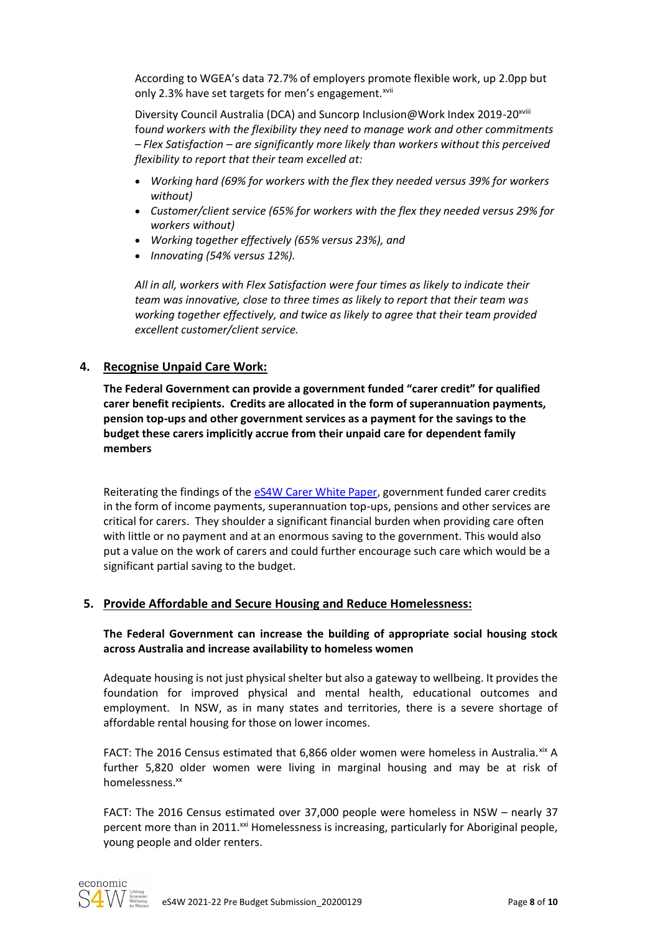According to WGEA's data 72.7% of employers promote flexible work, up 2.0pp but only 2.3% have set targets for men's engagement.<sup>xvii</sup>

Diversity Council Australia (DCA) and Suncorp Inclusion@Work Index 2019-20<sup>xviii</sup> fo*und workers with the flexibility they need to manage work and other commitments – Flex Satisfaction – are significantly more likely than workers without this perceived flexibility to report that their team excelled at:*

- *Working hard (69% for workers with the flex they needed versus 39% for workers without)*
- *Customer/client service (65% for workers with the flex they needed versus 29% for workers without)*
- *Working together effectively (65% versus 23%), and*
- *Innovating (54% versus 12%).*

*All in all, workers with Flex Satisfaction were four times as likely to indicate their team was innovative, close to three times as likely to report that their team was working together effectively, and twice as likely to agree that their team provided excellent customer/client service.*

### **4. Recognise Unpaid Care Work:**

**The Federal Government can provide a government funded "carer credit" for qualified carer benefit recipients. Credits are allocated in the form of superannuation payments, pension top-ups and other government services as a payment for the savings to the budget these carers implicitly accrue from their unpaid care for dependent family members**

Reiterating the findings of the [eS4W Carer White Paper,](https://www.security4women.org.au/the-impact-of-unpaid-care-work-on-womens-economic-security/) government funded carer credits in the form of income payments, superannuation top-ups, pensions and other services are critical for carers. They shoulder a significant financial burden when providing care often with little or no payment and at an enormous saving to the government. This would also put a value on the work of carers and could further encourage such care which would be a significant partial saving to the budget.

#### **5. Provide Affordable and Secure Housing and Reduce Homelessness:**

**The Federal Government can increase the building of appropriate social housing stock across Australia and increase availability to homeless women**

Adequate housing is not just physical shelter but also a gateway to wellbeing. It provides the foundation for improved physical and mental health, educational outcomes and employment. In NSW, as in many states and territories, there is a severe shortage of affordable rental housing for those on lower incomes.

FACT: The 2016 Census estimated that 6,866 older women were homeless in Australia. xix A further 5,820 older women were living in marginal housing and may be at risk of homelessness.<sup>xx</sup>

FACT: The 2016 Census estimated over 37,000 people were homeless in NSW – nearly 37 percent more than in 2011.<sup>xxi</sup> Homelessness is increasing, particularly for Aboriginal people, young people and older renters.

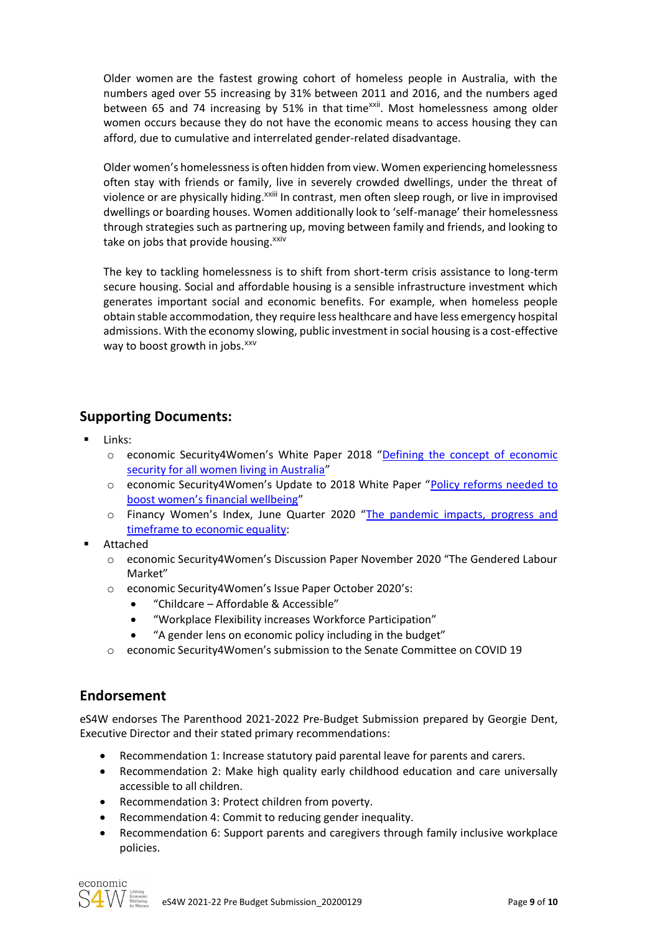Older women are the fastest growing cohort of homeless people in Australia, with the numbers aged over 55 increasing by 31% between 2011 and 2016, and the numbers aged between 65 and 74 increasing by 51% in that time<sup>xxii</sup>. Most homelessness among older women occurs because they do not have the economic means to access housing they can afford, due to cumulative and interrelated gender-related disadvantage.

Older women's homelessness is often hidden from view. Women experiencing homelessness often stay with friends or family, live in severely crowded dwellings, under the threat of violence or are physically hiding.<sup>xxiii</sup> In contrast, men often sleep rough, or live in improvised dwellings or boarding houses. Women additionally look to 'self-manage' their homelessness through strategies such as partnering up, moving between family and friends, and looking to take on jobs that provide housing.<sup>xxiv</sup>

The key to tackling homelessness is to shift from short-term crisis assistance to long-term secure housing. Social and affordable housing is a sensible infrastructure investment which generates important social and economic benefits. For example, when homeless people obtain stable accommodation, they require less healthcare and have less emergency hospital admissions. With the economy slowing, public investment in social housing is a cost-effective way to boost growth in jobs.<sup>xxv</sup>

# **Supporting Documents:**

- Links:
	- o economic Security4Women's White Paper 2018 "[Defining the concept of economic](https://www.security4women.org.au/boosting-womens-economic-security/economic-security-defined-for-all-women/)  [security for all women living in Australia](https://www.security4women.org.au/boosting-womens-economic-security/economic-security-defined-for-all-women/)"
	- o economic Security4Women's Update to 2018 White Paper "[Policy reforms needed to](https://www.security4women.org.au/boosting-womens-economic-security/policy-reforms-needed-to-boost-womens-financial-well-being/)  [boost women's financial wellbeing"](https://www.security4women.org.au/boosting-womens-economic-security/policy-reforms-needed-to-boost-womens-financial-well-being/)
	- o Financy Women's Index, June Quarter 2020 "The pandemic impacts, progress and [timeframe to economic equality:](https://financy.com.au/financy-womens-index-report/)
- Attached
	- o economic Security4Women's Discussion Paper November 2020 "The Gendered Labour Market"
	- o economic Security4Women's Issue Paper October 2020's:
		- "Childcare Affordable & Accessible"
		- "Workplace Flexibility increases Workforce Participation"
		- "A gender lens on economic policy including in the budget"
	- o economic Security4Women's submission to the Senate Committee on COVID 19

## **Endorsement**

eS4W endorses The Parenthood 2021-2022 Pre-Budget Submission prepared by Georgie Dent, Executive Director and their stated primary recommendations:

- Recommendation 1: Increase statutory paid parental leave for parents and carers.
- Recommendation 2: Make high quality early childhood education and care universally accessible to all children.
- Recommendation 3: Protect children from poverty.
- Recommendation 4: Commit to reducing gender inequality.
- Recommendation 6: Support parents and caregivers through family inclusive workplace policies.